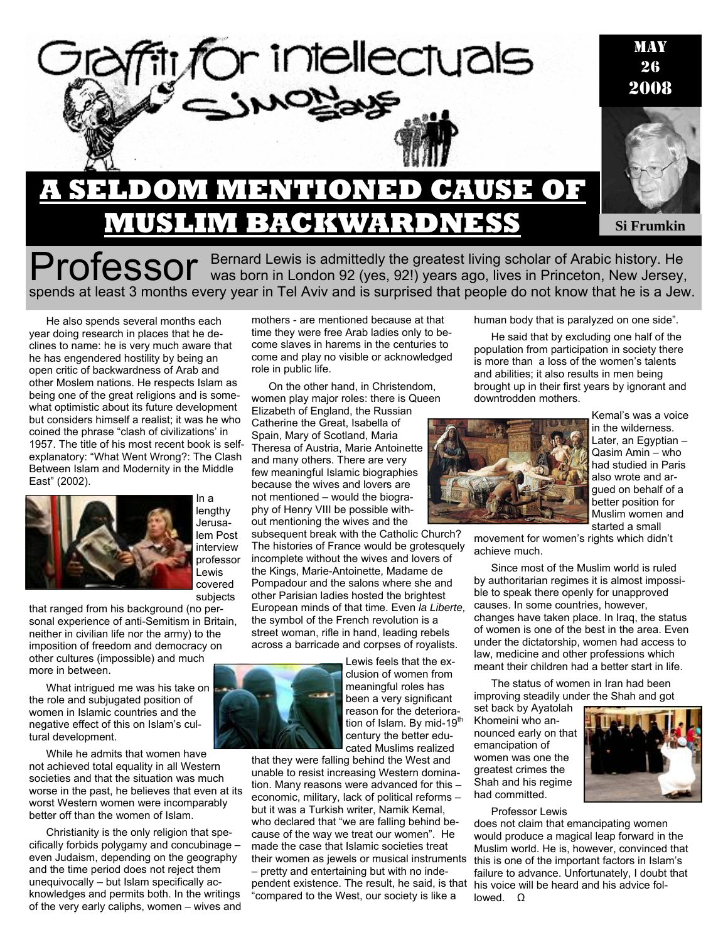

Professor Bernard Lewis is admittedly the greatest living scholar of Arabic history. He was born in London 92 (yes, 92!) years ago, lives in Princeton, New Jersey, spends at least 3 months every year in Tel Aviv and is surprised that people do not know that he is a Jew.

He also spends several months each year doing research in places that he declines to name: he is very much aware that he has engendered hostility by being an open critic of backwardness of Arab and other Moslem nations. He respects Islam as being one of the great religions and is somewhat optimistic about its future development but considers himself a realist; it was he who coined the phrase "clash of civilizations' in 1957. The title of his most recent book is selfexplanatory: "What Went Wrong?: The Clash Between Islam and Modernity in the Middle East" (2002).



In a lengthy Jerusalem Post interview professor Lewis covered subjects

that ranged from his background (no personal experience of anti-Semitism in Britain, neither in civilian life nor the army) to the imposition of freedom and democracy on other cultures (impossible) and much more in between.

What intrigued me was his take on the role and subjugated position of women in Islamic countries and the negative effect of this on Islam's cultural development.

While he admits that women have not achieved total equality in all Western societies and that the situation was much worse in the past, he believes that even at its worst Western women were incomparably better off than the women of Islam.

Christianity is the only religion that specifically forbids polygamy and concubinage – even Judaism, depending on the geography and the time period does not reject them unequivocally – but Islam specifically acknowledges and permits both. In the writings of the very early caliphs, women – wives and

mothers - are mentioned because at that time they were free Arab ladies only to become slaves in harems in the centuries to come and play no visible or acknowledged role in public life.

On the other hand, in Christendom, women play major roles: there is Queen Elizabeth of England, the Russian Catherine the Great, Isabella of Spain, Mary of Scotland, Maria Theresa of Austria, Marie Antoinette and many others. There are very few meaningful Islamic biographies because the wives and lovers are not mentioned – would the biography of Henry VIII be possible without mentioning the wives and the subsequent break with the Catholic Church?

The histories of France would be grotesquely incomplete without the wives and lovers of the Kings, Marie-Antoinette, Madame de Pompadour and the salons where she and other Parisian ladies hosted the brightest European minds of that time. Even *la Liberte,*  the symbol of the French revolution is a street woman, rifle in hand, leading rebels across a barricade and corpses of royalists.



Lewis feels that the exclusion of women from meaningful roles has been a very significant reason for the deterioration of Islam. By mid-19<sup>th</sup> century the better educated Muslims realized

that they were falling behind the West and unable to resist increasing Western domination. Many reasons were advanced for this – economic, military, lack of political reforms – but it was a Turkish writer, Namik Kemal, who declared that "we are falling behind because of the way we treat our women". He made the case that Islamic societies treat their women as jewels or musical instruments – pretty and entertaining but with no independent existence. The result, he said, is that "compared to the West, our society is like a

human body that is paralyzed on one side".

He said that by excluding one half of the population from participation in society there is more than a loss of the women's talents and abilities; it also results in men being brought up in their first years by ignorant and downtrodden mothers.



Kemal's was a voice in the wilderness. Later, an Egyptian – Qasim Amin – who had studied in Paris also wrote and argued on behalf of a better position for Muslim women and started a small

movement for women's rights which didn't achieve much.

Since most of the Muslim world is ruled by authoritarian regimes it is almost impossible to speak there openly for unapproved causes. In some countries, however, changes have taken place. In Iraq, the status of women is one of the best in the area. Even under the dictatorship, women had access to law, medicine and other professions which meant their children had a better start in life.

The status of women in Iran had been improving steadily under the Shah and got

set back by Ayatolah Khomeini who announced early on that emancipation of women was one the greatest crimes the Shah and his regime had committed.



Professor Lewis

does not claim that emancipating women would produce a magical leap forward in the Muslim world. He is, however, convinced that this is one of the important factors in Islam's failure to advance. Unfortunately, I doubt that his voice will be heard and his advice followed. Ω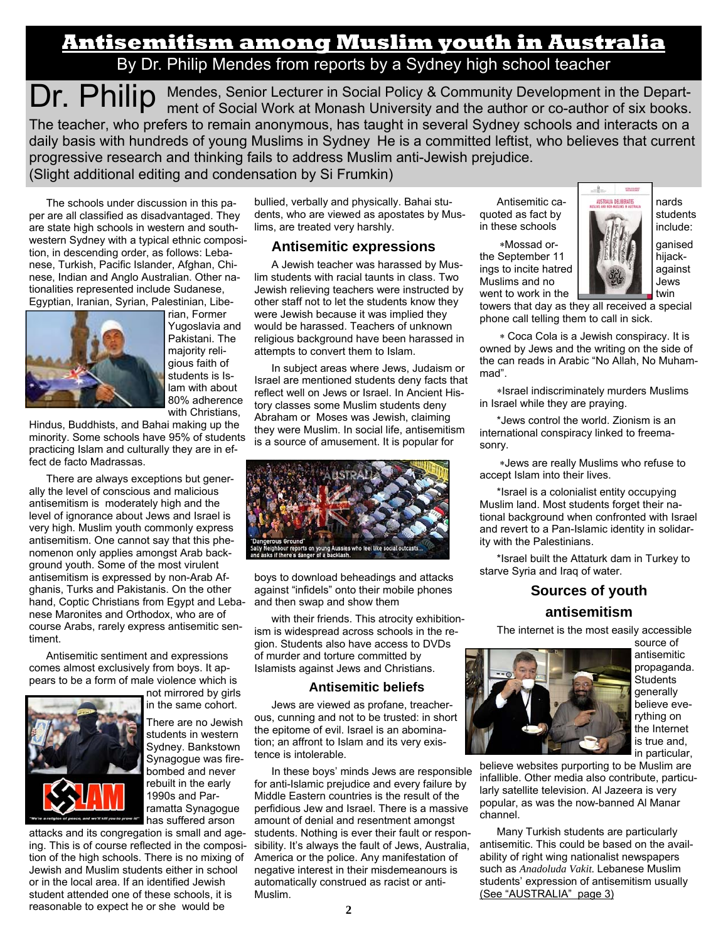# **Antisemitism among Muslim youth in Australia** By Dr. Philip Mendes from reports by a Sydney high school teacher

Dr. Philip Mendes, Senior Lecturer in Social Policy & Community Development in the Depart-<br>
Dr. Philip ment of Social Work at Monash University and the author or co-author of six books. The teacher, who prefers to remain anonymous, has taught in several Sydney schools and interacts on a daily basis with hundreds of young Muslims in Sydney He is a committed leftist, who believes that current progressive research and thinking fails to address Muslim anti-Jewish prejudice. (Slight additional editing and condensation by Si Frumkin)

The schools under discussion in this paper are all classified as disadvantaged. They are state high schools in western and southwestern Sydney with a typical ethnic composition, in descending order, as follows: Lebanese, Turkish, Pacific Islander, Afghan, Chinese, Indian and Anglo Australian. Other nationalities represented include Sudanese, Egyptian, Iranian, Syrian, Palestinian, Libe-



rian, Former Yugoslavia and Pakistani. The majority religious faith of students is Islam with about 80% adherence with Christians,

Hindus, Buddhists, and Bahai making up the minority. Some schools have 95% of students practicing Islam and culturally they are in effect de facto Madrassas.

There are always exceptions but generally the level of conscious and malicious antisemitism is moderately high and the level of ignorance about Jews and Israel is very high. Muslim youth commonly express antisemitism. One cannot say that this phenomenon only applies amongst Arab background youth. Some of the most virulent antisemitism is expressed by non-Arab Afghanis, Turks and Pakistanis. On the other hand, Coptic Christians from Egypt and Lebanese Maronites and Orthodox, who are of course Arabs, rarely express antisemitic sentiment.

Antisemitic sentiment and expressions comes almost exclusively from boys. It appears to be a form of male violence which is



not mirrored by girls in the same cohort.

There are no Jewish students in western Sydney. Bankstown Synagogue was firebombed and never rebuilt in the early 1990s and Parramatta Synagogue *HHT* has suffered arson

attacks and its congregation is small and ageing. This is of course reflected in the composition of the high schools. There is no mixing of Jewish and Muslim students either in school or in the local area. If an identified Jewish student attended one of these schools, it is reasonable to expect he or she would be

bullied, verbally and physically. Bahai students, who are viewed as apostates by Muslims, are treated very harshly.

### **Antisemitic expressions**

A Jewish teacher was harassed by Muslim students with racial taunts in class. Two Jewish relieving teachers were instructed by other staff not to let the students know they were Jewish because it was implied they would be harassed. Teachers of unknown religious background have been harassed in attempts to convert them to Islam.

In subject areas where Jews, Judaism or Israel are mentioned students deny facts that reflect well on Jews or Israel. In Ancient History classes some Muslim students deny Abraham or Moses was Jewish, claiming they were Muslim. In social life, antisemitism is a source of amusement. It is popular for



boys to download beheadings and attacks against "infidels" onto their mobile phones and then swap and show them

with their friends. This atrocity exhibitionism is widespread across schools in the region. Students also have access to DVDs of murder and torture committed by Islamists against Jews and Christians.

#### **Antisemitic beliefs**

Jews are viewed as profane, treacherous, cunning and not to be trusted: in short the epitome of evil. Israel is an abomination; an affront to Islam and its very existence is intolerable.

In these boys' minds Jews are responsible for anti-Islamic prejudice and every failure by Middle Eastern countries is the result of the perfidious Jew and Israel. There is a massive amount of denial and resentment amongst students. Nothing is ever their fault or responsibility. It's always the fault of Jews, Australia, America or the police. Any manifestation of negative interest in their misdemeanours is automatically construed as racist or anti-Muslim.

quoted as fact by  $\blacksquare$  students in these schools  $\|\cdot\|$  is the include:

 ∗Mossad or- ganised the September 11 **http://www.file.com/file.com/**hijackings to incite hatred  $\left| \right|$   $\left| \right|$  against Muslims and no Jews Jews



went to work in the  $\frac{1}{\sqrt{1-\frac{1}{x}}}\frac{1}{\sqrt{1-\frac{1}{x}}}\frac{1}{\sqrt{1-\frac{1}{x}}}\frac{1}{\sqrt{1-\frac{1}{x}}}\frac{1}{\sqrt{1-\frac{1}{x}}}\frac{1}{\sqrt{1-\frac{1}{x}}}\frac{1}{\sqrt{1-\frac{1}{x}}}\frac{1}{\sqrt{1-\frac{1}{x}}}\frac{1}{\sqrt{1-\frac{1}{x}}}\frac{1}{\sqrt{1-\frac{1}{x}}}\frac{1}{\sqrt{1-\frac{1}{x}}}\frac{1}{\sqrt{1-\frac{1}{x}}}\frac{1}{\sqrt{$ towers that day as they all received a special phone call telling them to call in sick.

 ∗ Coca Cola is a Jewish conspiracy. It is owned by Jews and the writing on the side of the can reads in Arabic "No Allah, No Muhammad".

∗Israel indiscriminately murders Muslims in Israel while they are praying.

\*Jews control the world. Zionism is an international conspiracy linked to freemasonry.

 ∗Jews are really Muslims who refuse to accept Islam into their lives.

\*Israel is a colonialist entity occupying Muslim land. Most students forget their national background when confronted with Israel and revert to a Pan-Islamic identity in solidarity with the Palestinians.

\*Israel built the Attaturk dam in Turkey to starve Syria and Iraq of water.

## **Sources of youth antisemitism**

The internet is the most easily accessible



source of antisemitic propaganda. **Students** generally believe everything on the Internet is true and, in particular,

believe websites purporting to be Muslim are infallible. Other media also contribute, particularly satellite television. Al Jazeera is very popular, as was the now-banned Al Manar channel.

Many Turkish students are particularly antisemitic. This could be based on the availability of right wing nationalist newspapers such as *Anadoluda Vakit.* Lebanese Muslim students' expression of antisemitism usually (See "AUSTRALIA" page 3)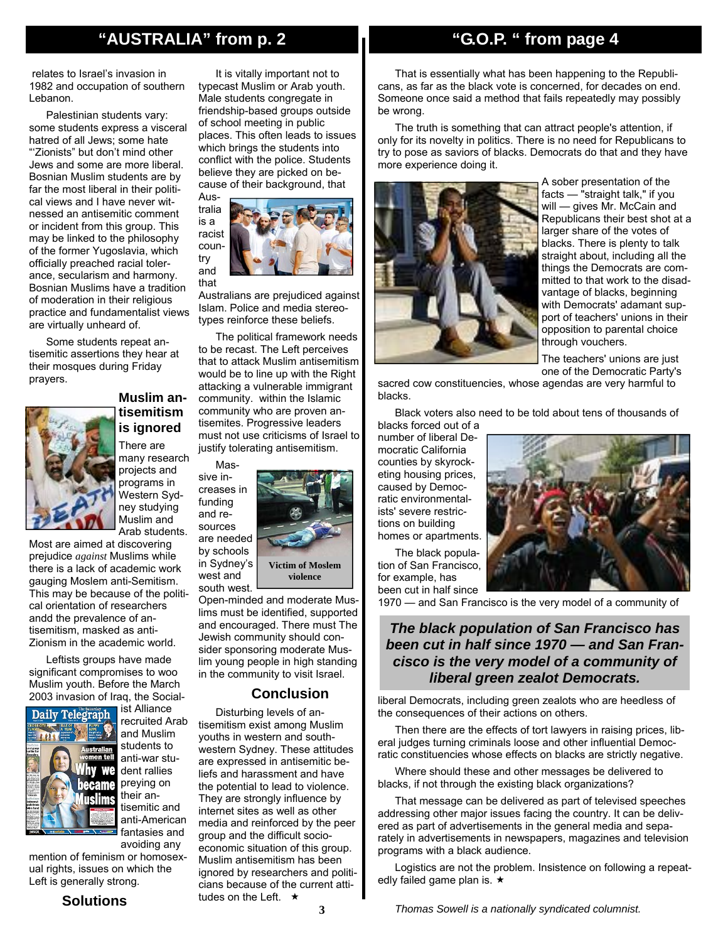## **"AUSTRALIA" from p. 2**

 relates to Israel's invasion in 1982 and occupation of southern Lebanon.

Palestinian students vary: some students express a visceral hatred of all Jews; some hate "'Zionists" but don't mind other Jews and some are more liberal. Bosnian Muslim students are by far the most liberal in their political views and I have never witnessed an antisemitic comment or incident from this group. This may be linked to the philosophy of the former Yugoslavia, which officially preached racial tolerance, secularism and harmony. Bosnian Muslims have a tradition of moderation in their religious practice and fundamentalist views are virtually unheard of.

Some students repeat antisemitic assertions they hear at their mosques during Friday prayers.



**Muslim antisemitism is ignored** 

There are many research projects and programs in Western Sydney studying Muslim and Arab students.

Most are aimed at discovering prejudice *against* Muslims while there is a lack of academic work gauging Moslem anti-Semitism. This may be because of the political orientation of researchers andd the prevalence of antisemitism, masked as anti-Zionism in the academic world.

Leftists groups have made significant compromises to woo Muslim youth. Before the March 2003 invasion of Iraq, the Social-



ist Alliance recruited Arab and Muslim students to anti-war student rallies preying on their antisemitic and anti-American fantasies and

avoiding any mention of feminism or homosexual rights, issues on which the Left is generally strong.

#### **Solutions**

It is vitally important not to typecast Muslim or Arab youth. Male students congregate in friendship-based groups outside of school meeting in public places. This often leads to issues which brings the students into conflict with the police. Students believe they are picked on because of their background, that



Australians are prejudiced against Islam. Police and media stereotypes reinforce these beliefs.

The political framework needs to be recast. The Left perceives that to attack Muslim antisemitism would be to line up with the Right attacking a vulnerable immigrant community. within the Islamic community who are proven antisemites. Progressive leaders must not use criticisms of Israel to justify tolerating antisemitism.

Mas-

west and





south west. Open-minded and moderate Muslims must be identified, supported and encouraged. There must The Jewish community should consider sponsoring moderate Muslim young people in high standing in the community to visit Israel.

## **Conclusion**

Disturbing levels of antisemitism exist among Muslim youths in western and southwestern Sydney. These attitudes are expressed in antisemitic beliefs and harassment and have the potential to lead to violence. They are strongly influence by internet sites as well as other media and reinforced by the peer group and the difficult socioeconomic situation of this group. Muslim antisemitism has been ignored by researchers and politicians because of the current attitudes on the Left.  $\star$ 

## **"G.O.P. " from page 4**

That is essentially what has been happening to the Republicans, as far as the black vote is concerned, for decades on end. Someone once said a method that fails repeatedly may possibly be wrong.

The truth is something that can attract people's attention, if only for its novelty in politics. There is no need for Republicans to try to pose as saviors of blacks. Democrats do that and they have more experience doing it.



A sober presentation of the facts — "straight talk," if you will — gives Mr. McCain and Republicans their best shot at a larger share of the votes of blacks. There is plenty to talk straight about, including all the things the Democrats are committed to that work to the disadvantage of blacks, beginning with Democrats' adamant support of teachers' unions in their opposition to parental choice through vouchers.

The teachers' unions are just one of the Democratic Party's

sacred cow constituencies, whose agendas are very harmful to blacks.

Black voters also need to be told about tens of thousands of blacks forced out of a

number of liberal Democratic California counties by skyrocketing housing prices, caused by Democratic environmentalists' severe restrictions on building homes or apartments.

The black population of San Francisco, for example, has been cut in half since



1970 — and San Francisco is the very model of a community of

## *The black population of San Francisco has been cut in half since 1970 — and San Francisco is the very model of a community of liberal green zealot Democrats.*

liberal Democrats, including green zealots who are heedless of the consequences of their actions on others.

Then there are the effects of tort lawyers in raising prices, liberal judges turning criminals loose and other influential Democratic constituencies whose effects on blacks are strictly negative.

Where should these and other messages be delivered to blacks, if not through the existing black organizations?

That message can be delivered as part of televised speeches addressing other major issues facing the country. It can be delivered as part of advertisements in the general media and separately in advertisements in newspapers, magazines and television programs with a black audience.

Logistics are not the problem. Insistence on following a repeatedly failed game plan is.  $\star$ 

*Thomas Sowell is a nationally syndicated columnist.*